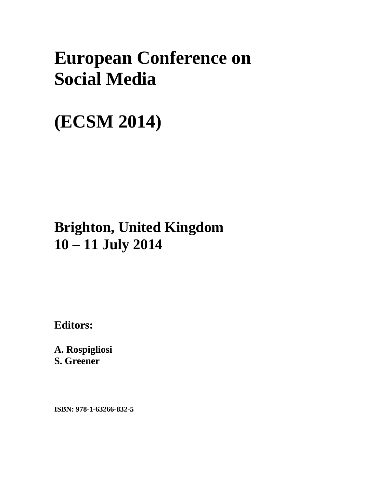# **European Conference on Social Media**

# **(ECSM 2014)**

## **Brighton, United Kingdom 10 – 11 July 2014**

**Editors:** 

**A. Rospigliosi S. Greener** 

**ISBN: 978-1-63266-832-5**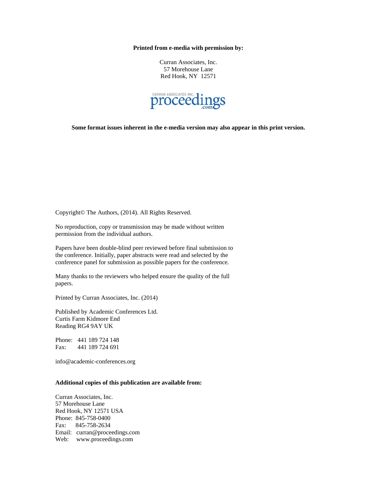#### **Printed from e-media with permission by:**

Curran Associates, Inc. 57 Morehouse Lane Red Hook, NY 12571



**Some format issues inherent in the e-media version may also appear in this print version.** 

Copyright© The Authors, (2014). All Rights Reserved.

No reproduction, copy or transmission may be made without written permission from the individual authors.

Papers have been double-blind peer reviewed before final submission to the conference. Initially, paper abstracts were read and selected by the conference panel for submission as possible papers for the conference.

Many thanks to the reviewers who helped ensure the quality of the full papers.

Printed by Curran Associates, Inc. (2014)

Published by Academic Conferences Ltd. Curtis Farm Kidmore End Reading RG4 9AY UK

Phone: 441 189 724 148 Fax: 441 189 724 691

info@academic-conferences.org

### **Additional copies of this publication are available from:**

Curran Associates, Inc. 57 Morehouse Lane Red Hook, NY 12571 USA Phone: 845-758-0400 Fax: 845-758-2634 Email: curran@proceedings.com Web: www.proceedings.com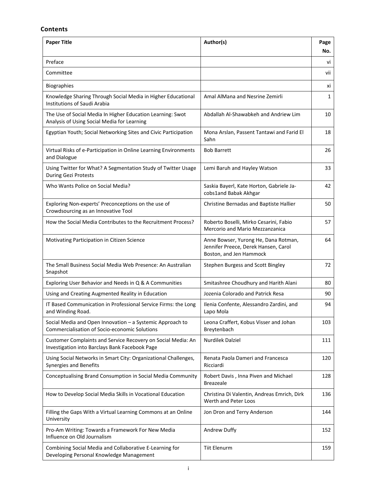### **Contents**

| <b>Paper Title</b>                                                                                             | Author(s)                                                                                               | Page<br>No. |
|----------------------------------------------------------------------------------------------------------------|---------------------------------------------------------------------------------------------------------|-------------|
| Preface                                                                                                        |                                                                                                         | vi          |
| Committee                                                                                                      |                                                                                                         | vii         |
| <b>Biographies</b>                                                                                             |                                                                                                         | XI          |
| Knowledge Sharing Through Social Media in Higher Educational<br><b>Institutions of Saudi Arabia</b>            | Amal AlMana and Nesrine Zemirli                                                                         | 1           |
| The Use of Social Media In Higher Education Learning: Swot<br>Analysis of Using Social Media for Learning      | Abdallah Al-Shawabkeh and Andriew Lim                                                                   | 10          |
| Egyptian Youth; Social Networking Sites and Civic Participation                                                | Mona Arslan, Passent Tantawi and Farid El<br>Sahn                                                       | 18          |
| Virtual Risks of e-Participation in Online Learning Environments<br>and Dialogue                               | <b>Bob Barrett</b>                                                                                      | 26          |
| Using Twitter for What? A Segmentation Study of Twitter Usage<br>During Gezi Protests                          | Lemi Baruh and Hayley Watson                                                                            | 33          |
| Who Wants Police on Social Media?                                                                              | Saskia Bayerl, Kate Horton, Gabriele Ja-<br>cobs1and Babak Akhgar                                       | 42          |
| Exploring Non-experts' Preconceptions on the use of<br>Crowdsourcing as an Innovative Tool                     | Christine Bernadas and Baptiste Hallier                                                                 | 50          |
| How the Social Media Contributes to the Recruitment Process?                                                   | Roberto Boselli, Mirko Cesarini, Fabio<br>Mercorio and Mario Mezzanzanica                               | 57          |
| Motivating Participation in Citizen Science                                                                    | Anne Bowser, Yurong He, Dana Rotman,<br>Jennifer Preece, Derek Hansen, Carol<br>Boston, and Jen Hammock | 64          |
| The Small Business Social Media Web Presence: An Australian<br>Snapshot                                        | Stephen Burgess and Scott Bingley                                                                       | 72          |
| Exploring User Behavior and Needs in Q & A Communities                                                         | Smitashree Choudhury and Harith Alani                                                                   | 80          |
| Using and Creating Augmented Reality in Education                                                              | Jozenia Colorado and Patrick Resa                                                                       | 90          |
| IT Based Communication in Professional Service Firms: the Long<br>and Winding Road.                            | Ilenia Confente, Alessandro Zardini, and<br>Lapo Mola                                                   | 94          |
| Social Media and Open Innovation - a Systemic Approach to<br>Commercialisation of Socio-economic Solutions     | Leona Craffert, Kobus Visser and Johan<br>Breytenbach                                                   | 103         |
| Customer Complaints and Service Recovery on Social Media: An<br>Investigation into Barclays Bank Facebook Page | Nurdilek Dalziel                                                                                        | 111         |
| Using Social Networks in Smart City: Organizational Challenges,<br>Synergies and Benefits                      | Renata Paola Dameri and Francesca<br>Ricciardi                                                          | 120         |
| Conceptualising Brand Consumption in Social Media Community                                                    | Robert Davis, Inna Piven and Michael<br><b>Breazeale</b>                                                | 128         |
| How to Develop Social Media Skills in Vocational Education                                                     | Christina Di Valentin, Andreas Emrich, Dirk<br>Werth and Peter Loos                                     | 136         |
| Filling the Gaps With a Virtual Learning Commons at an Online<br>University                                    | Jon Dron and Terry Anderson                                                                             | 144         |
| Pro-Am Writing: Towards a Framework For New Media<br>Influence on Old Journalism                               | Andrew Duffy                                                                                            | 152         |
| Combining Social Media and Collaborative E-Learning for<br>Developing Personal Knowledge Management            | <b>Tiit Elenurm</b>                                                                                     | 159         |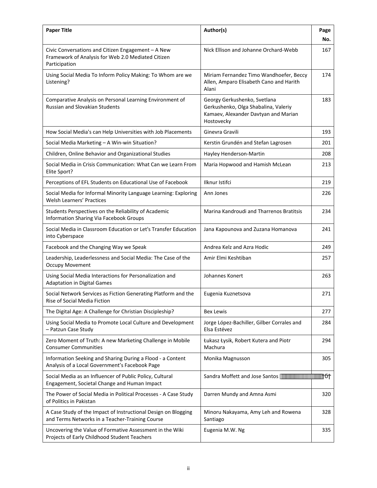| <b>Paper Title</b>                                                                                                        | Author(s)                                                                                                                  | Page<br>No. |
|---------------------------------------------------------------------------------------------------------------------------|----------------------------------------------------------------------------------------------------------------------------|-------------|
| Civic Conversations and Citizen Engagement - A New<br>Framework of Analysis for Web 2.0 Mediated Citizen<br>Participation | Nick Ellison and Johanne Orchard-Webb                                                                                      | 167         |
| Using Social Media To Inform Policy Making: To Whom are we<br>Listening?                                                  | Miriam Fernandez Timo Wandhoefer, Beccy<br>Allen, Amparo Elisabeth Cano and Harith<br>Alani                                | 174         |
| Comparative Analysis on Personal Learning Environment of<br>Russian and Slovakian Students                                | Georgy Gerkushenko, Svetlana<br>Gerkushenko, Olga Shabalina, Valeriy<br>Kamaev, Alexander Davtyan and Marian<br>Hostovecky | 183         |
| How Social Media's can Help Universities with Job Placements                                                              | Ginevra Gravili                                                                                                            | 193         |
| Social Media Marketing - A Win-win Situation?                                                                             | Kerstin Grundén and Stefan Lagrosen                                                                                        | 201         |
| Children, Online Behavior and Organizational Studies                                                                      | Hayley Henderson-Martin                                                                                                    | 208         |
| Social Media in Crisis Communication: What Can we Learn From<br>Elite Sport?                                              | Maria Hopwood and Hamish McLean                                                                                            | 213         |
| Perceptions of EFL Students on Educational Use of Facebook                                                                | Ilknur Istifci                                                                                                             | 219         |
| Social Media for Informal Minority Language Learning: Exploring<br>Welsh Learners' Practices                              | Ann Jones                                                                                                                  | 226         |
| Students Perspectives on the Reliability of Academic<br>Information Sharing Via Facebook Groups                           | Marina Kandroudi and Tharrenos Bratitsis                                                                                   | 234         |
| Social Media in Classroom Education or Let's Transfer Education<br>into Cyberspace                                        | Jana Kapounova and Zuzana Homanova                                                                                         | 241         |
| Facebook and the Changing Way we Speak                                                                                    | Andrea Kelz and Azra Hodic                                                                                                 | 249         |
| Leadership, Leaderlessness and Social Media: The Case of the<br><b>Occupy Movement</b>                                    | Amir Elmi Keshtiban                                                                                                        | 257         |
| Using Social Media Interactions for Personalization and<br><b>Adaptation in Digital Games</b>                             | Johannes Konert                                                                                                            | 263         |
| Social Network Services as Fiction Generating Platform and the<br>Rise of Social Media Fiction                            | Eugenia Kuznetsova                                                                                                         | 271         |
| The Digital Age: A Challenge for Christian Discipleship?                                                                  | <b>Bex Lewis</b>                                                                                                           | 277         |
| Using Social Media to Promote Local Culture and Development<br>- Patzun Case Study                                        | Jorge López-Bachiller, Gilber Corrales and<br>Elsa Estévez                                                                 | 284         |
| Zero Moment of Truth: A new Marketing Challenge in Mobile<br><b>Consumer Communities</b>                                  | Łukasz Łysik, Robert Kutera and Piotr<br>Machura                                                                           | 294         |
| Information Seeking and Sharing During a Flood - a Content<br>Analysis of a Local Government's Facebook Page              | Monika Magnusson                                                                                                           | 305         |
| Social Media as an Influencer of Public Policy, Cultural<br>Engagement, Societal Change and Human Impact                  | Sandra Moffett and Jose Santos                                                                                             |             |
| The Power of Social Media in Political Processes - A Case Study<br>of Politics in Pakistan                                | Darren Mundy and Amna Asmi                                                                                                 | 320         |
| A Case Study of the Impact of Instructional Design on Blogging<br>and Terms Networks in a Teacher-Training Course         | Minoru Nakayama, Amy Leh and Rowena<br>Santiago                                                                            | 328         |
| Uncovering the Value of Formative Assessment in the Wiki<br>Projects of Early Childhood Student Teachers                  | Eugenia M.W. Ng                                                                                                            | 335         |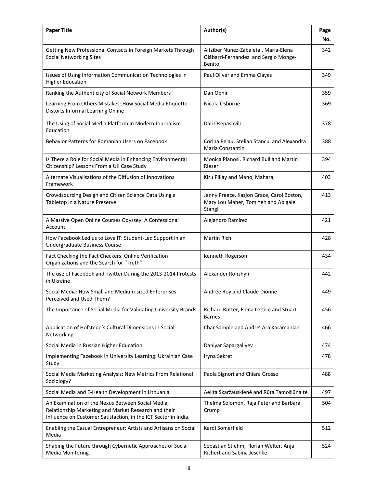| <b>Paper Title</b>                                                                                                                                                           | Author(s)                                                                                  | Page<br>No. |
|------------------------------------------------------------------------------------------------------------------------------------------------------------------------------|--------------------------------------------------------------------------------------------|-------------|
| Getting New Professional Contacts in Foreign Markets Through<br><b>Social Networking Sites</b>                                                                               | Aitziber Nunez-Zabaleta, María-Elena<br>Olábarri-Fernández and Sergio Monge-<br>Benito     | 342         |
| Issues of Using Information Communication Technologies in<br><b>Higher Education</b>                                                                                         | Paul Oliver and Emma Clayes                                                                | 349         |
| Ranking the Authenticity of Social Network Members                                                                                                                           | Dan Ophir                                                                                  | 359         |
| Learning From Others Mistakes: How Social Media Etiquette<br>Distorts Informal Learning Online                                                                               | Nicola Osborne                                                                             | 369         |
| The Using of Social Media Platform in Modern Journalism<br>Education                                                                                                         | Dali Osepashvili                                                                           | 378         |
| Behavior Patterns for Romanian Users on Facebook                                                                                                                             | Corina Pelau, Stelian Stancu and Alexandra<br>Maria Constantin                             | 388         |
| Is There a Role for Social Media in Enhancing Environmental<br>Citizenship? Lessons From a UK Case Study                                                                     | Monica Pianosi, Richard Bull and Martin<br>Rieser                                          | 394         |
| Alternate Visualisations of the Diffusion of Innovations<br>Framework                                                                                                        | Kiru Pillay and Manoj Maharaj                                                              | 403         |
| Crowdsourcing Design and Citizen Science Data Using a<br>Tabletop in a Nature Preserve                                                                                       | Jenny Preece, Kazjon Grace, Carol Boston,<br>Mary Lou Maher, Tom Yeh and Abigale<br>Stangl | 413         |
| A Massive Open Online Courses Odyssey: A Confessional<br>Account                                                                                                             | Alejandro Ramirez                                                                          | 421         |
| How Facebook Led us to Love IT: Student-Led Support in an<br>Undergraduate Business Course                                                                                   | <b>Martin Rich</b>                                                                         | 428         |
| Fact Checking the Fact Checkers: Online Verification<br>Organizations and the Search for "Truth"                                                                             | Kenneth Rogerson                                                                           | 434         |
| The use of Facebook and Twitter During the 2013-2014 Protests<br>in Ukraine                                                                                                  | Alexander Ronzhyn                                                                          | 442         |
| Social Media: How Small and Medium-sized Enterprises<br>Perceived and Used Them?                                                                                             | Andrée Roy and Claude Dionne                                                               | 449         |
| The Importance of Social Media for Validating University Brands                                                                                                              | Richard Rutter, Fiona Lettice and Stuart<br><b>Barnes</b>                                  | 456         |
| Application of Hofstede's Cultural Dimensions in Social<br>Networking                                                                                                        | Char Sample and Andre' Ara Karamanian                                                      | 466         |
| Social Media in Russian Higher Education                                                                                                                                     | Daniyar Sapargaliyev                                                                       | 474         |
| Implementing Facebook in University Learning: Ukrainian Case<br>Study                                                                                                        | Iryna Sekret                                                                               | 478         |
| Social Media Marketing Analysis: New Metrics From Relational<br>Sociology?                                                                                                   | Paola Signori and Chiara Grosso                                                            | 488         |
| Social Media and E-Health Development in Lithuania                                                                                                                           | Aelita Skaržauskienė and Rūta Tamošiūnaitė                                                 | 497         |
| An Examination of the Nexus Between Social Media,<br>Relationship Marketing and Market Research and their<br>Influence on Customer Satisfaction, in the ICT Sector in India. | Thelma Solomon, Raja Peter and Barbara<br>Crump                                            | 504         |
| Enabling the Casual Entrepreneur: Artists and Artisans on Social<br>Media                                                                                                    | Kardi Somerfield                                                                           | 512         |
| Shaping the Future through Cybernetic Approaches of Social<br><b>Media Monitoring</b>                                                                                        | Sebastian Stiehm, Florian Welter, Anja<br>Richert and Sabina Jeschke                       | 524         |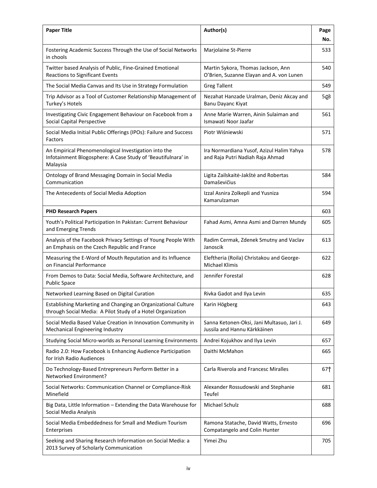| <b>Paper Title</b>                                                                                                               | Author(s)                                                                      | Page<br>No. |
|----------------------------------------------------------------------------------------------------------------------------------|--------------------------------------------------------------------------------|-------------|
| Fostering Academic Success Through the Use of Social Networks<br>in chools                                                       | Marjolaine St-Pierre                                                           | 533         |
| Twitter based Analysis of Public, Fine-Grained Emotional<br>Reactions to Significant Events                                      | Martin Sykora, Thomas Jackson, Ann<br>O'Brien, Suzanne Elayan and A. von Lunen | 540         |
| The Social Media Canvas and Its Use in Strategy Formulation                                                                      | <b>Greg Tallent</b>                                                            | 549         |
| Trip Advisor as a Tool of Customer Relationship Management of<br>Turkey's Hotels                                                 | Nezahat Hanzade Uralman, Deniz Akcay and<br>Banu Dayanc Kiyat                  | 5 3         |
| Investigating Civic Engagement Behaviour on Facebook from a<br><b>Social Capital Perspective</b>                                 | Anne Marie Warren, Ainin Sulaiman and<br>Ismawati Noor Jaafar                  | 561         |
| Social Media Initial Public Offerings (IPOs): Failure and Success<br>Factors                                                     | Piotr Wiśniewski                                                               | 571         |
| An Empirical Phenomenological Investigation into the<br>Infotainment Blogosphere: A Case Study of 'Beautifulnara' in<br>Malaysia | Ira Normardiana Yusof, Azizul Halim Yahya<br>and Raja Putri Nadiah Raja Ahmad  | 578         |
| Ontology of Brand Messaging Domain in Social Media<br>Communication                                                              | Ligita Zailskaitė-Jakštė and Robertas<br>Damaševičius                          | 584         |
| The Antecedents of Social Media Adoption                                                                                         | Izzal Asnira Zolkepli and Yusniza<br>Kamarulzaman                              | 594         |
| <b>PHD Research Papers</b>                                                                                                       |                                                                                | 603         |
| Youth's Political Participation In Pakistan: Current Behaviour<br>and Emerging Trends                                            | Fahad Asmi, Amna Asmi and Darren Mundy                                         | 605         |
| Analysis of the Facebook Privacy Settings of Young People With<br>an Emphasis on the Czech Republic and France                   | Radim Cermak, Zdenek Smutny and Vaclav<br>Janoscik                             | 613         |
| Measuring the E-Word of Mouth Reputation and its Influence<br>on Financial Performance                                           | Eleftheria (Roila) Christakou and George-<br><b>Michael Klimis</b>             | 622         |
| From Demos to Data: Social Media, Software Architecture, and<br><b>Public Space</b>                                              | Jennifer Forestal                                                              | 628         |
| Networked Learning Based on Digital Curation                                                                                     | Rivka Gadot and Ilya Levin                                                     | 635         |
| Establishing Marketing and Changing an Organizational Culture<br>through Social Media: A Pilot Study of a Hotel Organization     | Karin Högberg                                                                  | 643         |
| Social Media Based Value Creation in Innovation Community in<br>Mechanical Engineering Industry                                  | Sanna Ketonen-Oksi, Jani Multasuo, Jari J.<br>Jussila and Hannu Kärkkäinen     | 649         |
| Studying Social Micro-worlds as Personal Learning Environments                                                                   | Andrei Kojukhov and Ilya Levin                                                 | 657         |
| Radio 2.0: How Facebook is Enhancing Audience Participation<br>for Irish Radio Audiences                                         | Daithi McMahon                                                                 | 665         |
| Do Technology-Based Entrepreneurs Perform Better in a<br>Networked Environment?                                                  | <b>Carla Riverola and Francesc Miralles</b>                                    | 67          |
| Social Networks: Communication Channel or Compliance-Risk<br>Minefield                                                           | Alexander Rossudowski and Stephanie<br>Teufel                                  | 681         |
| Big Data, Little Information - Extending the Data Warehouse for<br>Social Media Analysis                                         | Michael Schulz                                                                 | 688         |
| Social Media Embeddedness for Small and Medium Tourism<br>Enterprises                                                            | Ramona Statache, David Watts, Ernesto<br>Compatangelo and Colin Hunter         | 696         |
| Seeking and Sharing Research Information on Social Media: a<br>2013 Survey of Scholarly Communication                            | Yimei Zhu                                                                      | 705         |